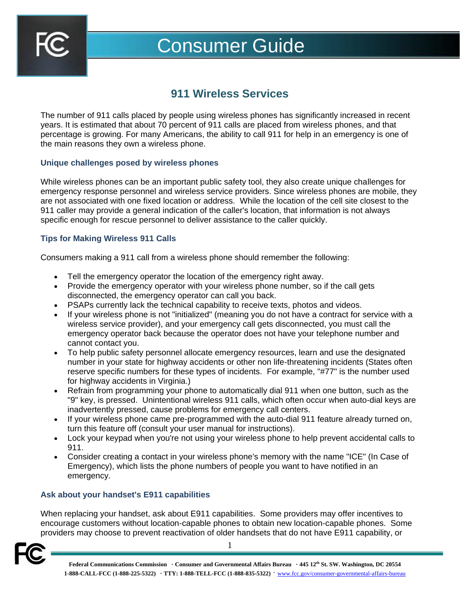

# Consumer Guide

# **911 Wireless Services**

The number of 911 calls placed by people using wireless phones has significantly increased in recent years. It is estimated that about 70 percent of 911 calls are placed from wireless phones, and that percentage is growing. For many Americans, the ability to call 911 for help in an emergency is one of the main reasons they own a wireless phone.

### **Unique challenges posed by wireless phones**

While wireless phones can be an important public safety tool, they also create unique challenges for emergency response personnel and wireless service providers. Since wireless phones are mobile, they are not associated with one fixed location or address. While the location of the cell site closest to the 911 caller may provide a general indication of the caller's location, that information is not always specific enough for rescue personnel to deliver assistance to the caller quickly.

# **Tips for Making Wireless 911 Calls**

Consumers making a 911 call from a wireless phone should remember the following:

- Tell the emergency operator the location of the emergency right away.
- Provide the emergency operator with your wireless phone number, so if the call gets disconnected, the emergency operator can call you back.
- PSAPs currently lack the technical capability to receive texts, photos and videos.
- If your wireless phone is not "initialized" (meaning you do not have a contract for service with a wireless service provider), and your emergency call gets disconnected, you must call the emergency operator back because the operator does not have your telephone number and cannot contact you.
- To help public safety personnel allocate emergency resources, learn and use the designated number in your state for highway accidents or other non life-threatening incidents (States often reserve specific numbers for these types of incidents. For example, "#77" is the number used for highway accidents in Virginia.)
- Refrain from programming your phone to automatically dial 911 when one button, such as the "9" key, is pressed. Unintentional wireless 911 calls, which often occur when auto-dial keys are inadvertently pressed, cause problems for emergency call centers.
- If your wireless phone came pre-programmed with the auto-dial 911 feature already turned on, turn this feature off (consult your user manual for instructions).
- Lock your keypad when you're not using your wireless phone to help prevent accidental calls to 911.
- Consider creating a contact in your wireless phone's memory with the name "ICE" (In Case of Emergency), which lists the phone numbers of people you want to have notified in an emergency.

#### **Ask about your handset's E911 capabilities**

When replacing your handset, ask about E911 capabilities. Some providers may offer incentives to encourage customers without location-capable phones to obtain new location-capable phones. Some providers may choose to prevent reactivation of older handsets that do not have E911 capability, or

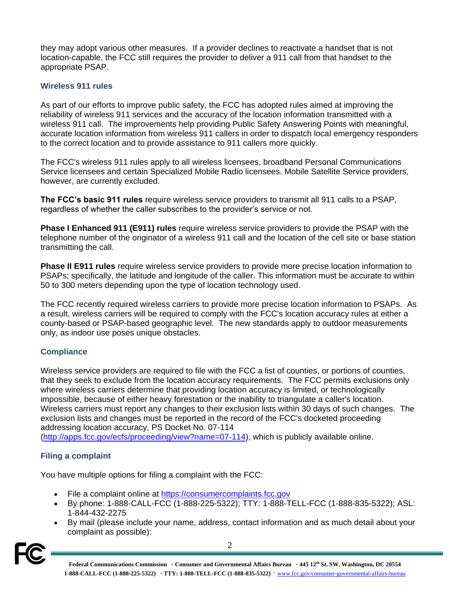they may adopt various other measures. If a provider declines to reactivate a handset that is not location-capable, the FCC still requires the provider to deliver a 911 call from that handset to the appropriate PSAP.

## **Wireless 911 rules**

As part of our efforts to improve public safety, the FCC has adopted rules aimed at improving the reliability of wireless 911 services and the accuracy of the location information transmitted with a wireless 911 call. The improvements help providing Public Safety Answering Points with meaningful, accurate location information from wireless 911 callers in order to dispatch local emergency responders to the correct location and to provide assistance to 911 callers more quickly.

The FCC's wireless 911 rules apply to all wireless licensees, broadband Personal Communications Service licensees and certain Specialized Mobile Radio licensees. Mobile Satellite Service providers, however, are currently excluded.

**The FCC's basic 911 rules** require wireless service providers to transmit all 911 calls to a PSAP, regardless of whether the caller subscribes to the provider's service or not.

**Phase I Enhanced 911 (E911) rules** require wireless service providers to provide the PSAP with the telephone number of the originator of a wireless 911 call and the location of the cell site or base station transmitting the call.

**Phase II E911 rules** require wireless service providers to provide more precise location information to PSAPs; specifically, the latitude and longitude of the caller. This information must be accurate to within 50 to 300 meters depending upon the type of location technology used.

The FCC recently required wireless carriers to provide more precise location information to PSAPs. As a result, wireless carriers will be required to comply with the FCC's location accuracy rules at either a county-based or PSAP-based geographic level. The new standards apply to outdoor measurements only, as indoor use poses unique obstacles.

#### **Compliance**

Wireless service providers are required to file with the FCC a list of counties, or portions of counties, that they seek to exclude from the location accuracy requirements. The FCC permits exclusions only where wireless carriers determine that providing location accuracy is limited, or technologically impossible, because of either heavy forestation or the inability to triangulate a caller's location. Wireless carriers must report any changes to their exclusion lists within 30 days of such changes. The exclusion lists and changes must be reported in the record of the FCC's docketed proceeding addressing location accuracy, PS Docket No. 07-114

[\(http://apps.fcc.gov/ecfs/proceeding/view?name=07-114\)](http://apps.fcc.gov/ecfs/proceeding/view?name=07-114), which is publicly available online.

# **Filing a complaint**

You have multiple options for filing a complaint with the FCC:

- File a complaint online at [https://consumercomplaints.fcc.gov](https://consumercomplaints.fcc.gov/)
- By phone: 1-888-CALL-FCC (1-888-225-5322); TTY: 1-888-TELL-FCC (1-888-835-5322); ASL: 1-844-432-2275
- By mail (please include your name, address, contact information and as much detail about your complaint as possible):